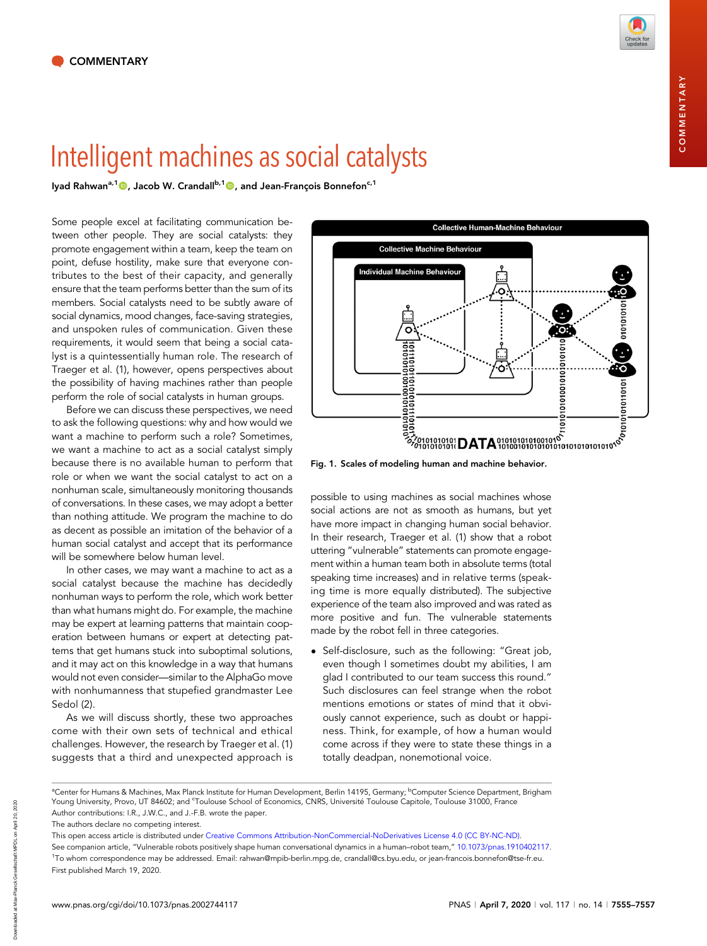COMMENTARY

COMMENTARY

Intelli[ge](http://orcid.org/0000-0002-1796-4303)nt mathematics as social catalogues as social catalogues of the set of the US of the US of the US of the US of the US of the US of the US of the US of the US of the US of the US of the US of the US of the US of th

Some people excel at facilitating communication between other people. They are social catalysts: they promote engagement within a team, keep the team on point, defuse hostility, make sure that everyone contributes to the best of their capacity, and generally ensure that the team performs better than the sum of its members. Social catalysts need to be subtly aware of social dynamics, mood changes, face-saving strategies, and unspoken rules of communication. Given these requirements, it would seem that being a social catalyst is a quintessentially human role. The research of Traeger et al. (1), however, opens perspectives about the possibility of having machines rather than people perform the role of social catalysts in human groups.

Before we can discuss these perspectives, we need to ask the following questions: why and how would we want a machine to perform such a role? Sometimes, we want a machine to act as a social catalyst simply because there is no available human to perform that role or when we want the social catalyst to act on a nonhuman scale, simultaneously monitoring thousands of conversations. In these cases, we may adopt a better than nothing attitude. We program the machine to do as decent as possible an imitation of the behavior of a human social catalyst and accept that its performance will be somewhere below human level.

In other cases, we may want a machine to act as a social catalyst because the machine has decidedly nonhuman ways to perform the role, which work better than what humans might do. For example, the machine may be expert at learning patterns that maintain cooperation between humans or expert at detecting patterns that get humans stuck into suboptimal solutions, and it may act on this knowledge in a way that humans would not even consider—similar to the AlphaGo move with nonhumanness that stupefied grandmaster Lee Sedol (2).

As we will discuss shortly, these two approaches come with their own sets of technical and ethical challenges. However, the research by Traeger et al. (1) suggests that a third and unexpected approach is



Fig. 1. Scales of modeling human and machine behavior.

possible to using machines as social machines whose social actions are not as smooth as humans, but yet have more impact in changing human social behavior. In their research, Traeger et al. (1) show that a robot uttering "vulnerable" statements can promote engagement within a human team both in absolute terms (total speaking time increases) and in relative terms (speaking time is more equally distributed). The subjective experience of the team also improved and was rated as more positive and fun. The vulnerable statements made by the robot fell in three categories.

• Self-disclosure, such as the following: "Great job, even though I sometimes doubt my abilities, I am glad I contributed to our team success this round." Such disclosures can feel strange when the robot mentions emotions or states of mind that it obviously cannot experience, such as doubt or happiness. Think, for example, of how a human would come across if they were to state these things in a totally deadpan, nonemotional voice.

<sup>&</sup>lt;sup>a</sup>Center for Humans & Machines, Max Planck Institute for Human Development, Berlin 14195, Germany; <sup>b</sup>Computer Science Department, Brigham Young University, Provo, UT 84602; and ʿToulouse School of Economics, CNRS, Université Toulouse Capitole, Toulouse 31000, France Author contributions: I.R., J.W.C., and J.-F.B. wrote the paper.

The authors declare no competing interest.

This open access article is distributed under [Creative Commons Attribution-NonCommercial-NoDerivatives License 4.0 \(CC BY-NC-ND\)](https://creativecommons.org/licenses/by-nc-nd/4.0/).

See companion article, "Vulnerable robots positively shape human conversational dynamics in a human–robot team," [10.1073/pnas.1910402117.](https://dx.doi.org/10.1073/pnas.1910402117) 1 To whom correspondence may be addressed. Email: [rahwan@mpib-berlin.mpg.de](mailto:rahwan@mpib-berlin.mpg.de), [crandall@cs.byu.edu](mailto:crandall@cs.byu.edu), or [jean-francois.bonnefon@tse-fr.eu.](mailto:jean-francois.bonnefon@tse-fr.eu) First published March 19, 2020.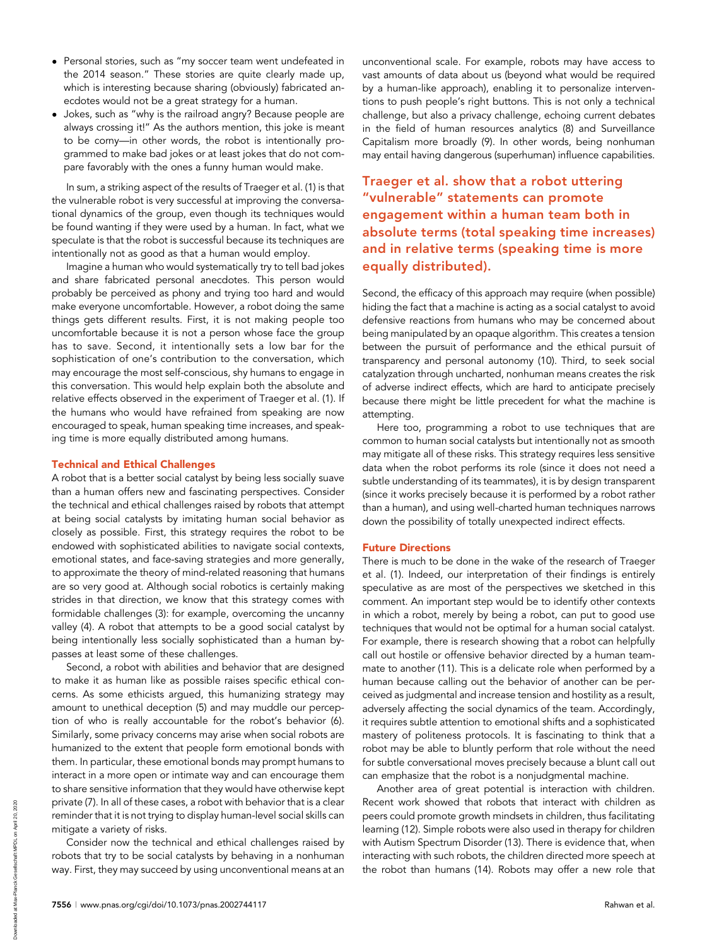- Personal stories, such as "my soccer team went undefeated in the 2014 season." These stories are quite clearly made up, which is interesting because sharing (obviously) fabricated anecdotes would not be a great strategy for a human.
- Jokes, such as "why is the railroad angry? Because people are always crossing it!" As the authors mention, this joke is meant to be corny—in other words, the robot is intentionally programmed to make bad jokes or at least jokes that do not compare favorably with the ones a funny human would make.

In sum, a striking aspect of the results of Traeger et al. (1) is that the vulnerable robot is very successful at improving the conversational dynamics of the group, even though its techniques would be found wanting if they were used by a human. In fact, what we speculate is that the robot is successful because its techniques are intentionally not as good as that a human would employ.

Imagine a human who would systematically try to tell bad jokes and share fabricated personal anecdotes. This person would probably be perceived as phony and trying too hard and would make everyone uncomfortable. However, a robot doing the same things gets different results. First, it is not making people too uncomfortable because it is not a person whose face the group has to save. Second, it intentionally sets a low bar for the sophistication of one's contribution to the conversation, which may encourage the most self-conscious, shy humans to engage in this conversation. This would help explain both the absolute and relative effects observed in the experiment of Traeger et al. (1). If the humans who would have refrained from speaking are now encouraged to speak, human speaking time increases, and speaking time is more equally distributed among humans.

## Technical and Ethical Challenges

A robot that is a better social catalyst by being less socially suave than a human offers new and fascinating perspectives. Consider the technical and ethical challenges raised by robots that attempt at being social catalysts by imitating human social behavior as closely as possible. First, this strategy requires the robot to be endowed with sophisticated abilities to navigate social contexts, emotional states, and face-saving strategies and more generally, to approximate the theory of mind-related reasoning that humans are so very good at. Although social robotics is certainly making strides in that direction, we know that this strategy comes with formidable challenges (3): for example, overcoming the uncanny valley (4). A robot that attempts to be a good social catalyst by being intentionally less socially sophisticated than a human bypasses at least some of these challenges.

Second, a robot with abilities and behavior that are designed to make it as human like as possible raises specific ethical concerns. As some ethicists argued, this humanizing strategy may amount to unethical deception (5) and may muddle our perception of who is really accountable for the robot's behavior (6). Similarly, some privacy concerns may arise when social robots are humanized to the extent that people form emotional bonds with them. In particular, these emotional bonds may prompt humans to interact in a more open or intimate way and can encourage them to share sensitive information that they would have otherwise kept private (7). In all of these cases, a robot with behavior that is a clear reminder that it is not trying to display human-level social skills can mitigate a variety of risks.

Consider now the technical and ethical challenges raised by robots that try to be social catalysts by behaving in a nonhuman way. First, they may succeed by using unconventional means at an

unconventional scale. For example, robots may have access to vast amounts of data about us (beyond what would be required by a human-like approach), enabling it to personalize interventions to push people's right buttons. This is not only a technical challenge, but also a privacy challenge, echoing current debates in the field of human resources analytics (8) and Surveillance Capitalism more broadly (9). In other words, being nonhuman may entail having dangerous (superhuman) influence capabilities.

Traeger et al. show that a robot uttering "vulnerable" statements can promote engagement within a human team both in absolute terms (total speaking time increases) and in relative terms (speaking time is more equally distributed).

Second, the efficacy of this approach may require (when possible) hiding the fact that a machine is acting as a social catalyst to avoid defensive reactions from humans who may be concerned about being manipulated by an opaque algorithm. This creates a tension between the pursuit of performance and the ethical pursuit of transparency and personal autonomy (10). Third, to seek social catalyzation through uncharted, nonhuman means creates the risk of adverse indirect effects, which are hard to anticipate precisely because there might be little precedent for what the machine is attempting.

Here too, programming a robot to use techniques that are common to human social catalysts but intentionally not as smooth may mitigate all of these risks. This strategy requires less sensitive data when the robot performs its role (since it does not need a subtle understanding of its teammates), it is by design transparent (since it works precisely because it is performed by a robot rather than a human), and using well-charted human techniques narrows down the possibility of totally unexpected indirect effects.

## Future Directions

There is much to be done in the wake of the research of Traeger et al. (1). Indeed, our interpretation of their findings is entirely speculative as are most of the perspectives we sketched in this comment. An important step would be to identify other contexts in which a robot, merely by being a robot, can put to good use techniques that would not be optimal for a human social catalyst. For example, there is research showing that a robot can helpfully call out hostile or offensive behavior directed by a human teammate to another (11). This is a delicate role when performed by a human because calling out the behavior of another can be perceived as judgmental and increase tension and hostility as a result, adversely affecting the social dynamics of the team. Accordingly, it requires subtle attention to emotional shifts and a sophisticated mastery of politeness protocols. It is fascinating to think that a robot may be able to bluntly perform that role without the need for subtle conversational moves precisely because a blunt call out can emphasize that the robot is a nonjudgmental machine.

Another area of great potential is interaction with children. Recent work showed that robots that interact with children as peers could promote growth mindsets in children, thus facilitating learning (12). Simple robots were also used in therapy for children with Autism Spectrum Disorder (13). There is evidence that, when interacting with such robots, the children directed more speech at the robot than humans (14). Robots may offer a new role that